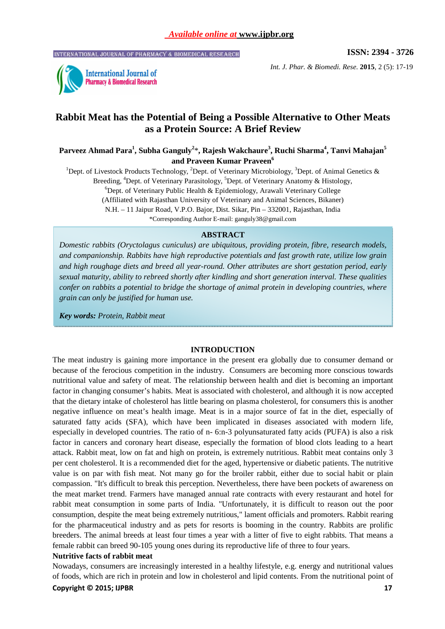INTERNATIONAL JOURNAL OF PHARMACY & BIOMEDICAL RESEARCH

**ISSN: 2394 - 3726** 



*Int. J. Phar. & Biomedi. Rese.* **2015**, 2 (5): 17-19

# **Rabbit Meat has the Potential of Being a Possible Alternative to Other Meats as a Protein Source: A Brief Review**

**Parveez Ahmad Para<sup>1</sup> , Subha Ganguly<sup>2</sup>** \***, Rajesh Wakchaure<sup>3</sup> , Ruchi Sharma<sup>4</sup> , Tanvi Mahajan<sup>5</sup> and Praveen Kumar Praveen<sup>6</sup>**

<sup>1</sup>Dept. of Livestock Products Technology, <sup>2</sup>Dept. of Veterinary Microbiology, <sup>3</sup>Dept. of Animal Genetics & Breeding, <sup>4</sup>Dept. of Veterinary Parasitology, <sup>5</sup>Dept. of Veterinary Anatomy & Histology,  $^6$ Dept. of Veterinary Public Health & Epidemiology, Arawali Veterinary College (Affiliated with Rajasthan University of Veterinary and Animal Sciences, Bikaner) N.H. – 11 Jaipur Road, V.P.O. Bajor, Dist. Sikar, Pin – 332001, Rajasthan, India

\*Corresponding Author E-mail: ganguly38@gmail.com

### **ABSTRACT**

*Domestic rabbits (Oryctolagus cuniculus) are ubiquitous, providing protein, fibre, research models, and companionship. Rabbits have high reproductive potentials and fast growth rate, utilize low grain and high roughage diets and breed all year-round. Other attributes are short gestation period, early sexual maturity, ability to rebreed shortly after kindling and short generation interval. These qualities confer on rabbits a potential to bridge the shortage of animal protein in developing countries, where grain can only be justified for human use.* 

*Key words: Protein, Rabbit meat* 

### **INTRODUCTION**

The meat industry is gaining more importance in the present era globally due to consumer demand or because of the ferocious competition in the industry. Consumers are becoming more conscious towards nutritional value and safety of meat. The relationship between health and diet is becoming an important factor in changing consumer's habits. Meat is associated with cholesterol, and although it is now accepted that the dietary intake of cholesterol has little bearing on plasma cholesterol, for consumers this is another negative influence on meat's health image. Meat is in a major source of fat in the diet, especially of saturated fatty acids (SFA), which have been implicated in diseases associated with modern life, especially in developed countries. The ratio of n- 6:n-3 polyunsaturated fatty acids (PUFA) is also a risk factor in cancers and coronary heart disease, especially the formation of blood clots leading to a heart attack. Rabbit meat, low on fat and high on protein, is extremely nutritious. Rabbit meat contains only 3 per cent cholesterol. It is a recommended diet for the aged, hypertensive or diabetic patients. The nutritive value is on par with fish meat. Not many go for the broiler rabbit, either due to social habit or plain compassion. "It's difficult to break this perception. Nevertheless, there have been pockets of awareness on the meat market trend. Farmers have managed annual rate contracts with every restaurant and hotel for rabbit meat consumption in some parts of India. "Unfortunately, it is difficult to reason out the poor consumption, despite the meat being extremely nutritious," lament officials and promoters. Rabbit rearing for the pharmaceutical industry and as pets for resorts is booming in the country. Rabbits are prolific breeders. The animal breeds at least four times a year with a litter of five to eight rabbits. That means a female rabbit can breed 90-105 young ones during its reproductive life of three to four years.

# **Nutritive facts of rabbit meat**

**Copyright © 2015; IJPBR** 17 Nowadays, consumers are increasingly interested in a healthy lifestyle, e.g. energy and nutritional values of foods, which are rich in protein and low in cholesterol and lipid contents. From the nutritional point of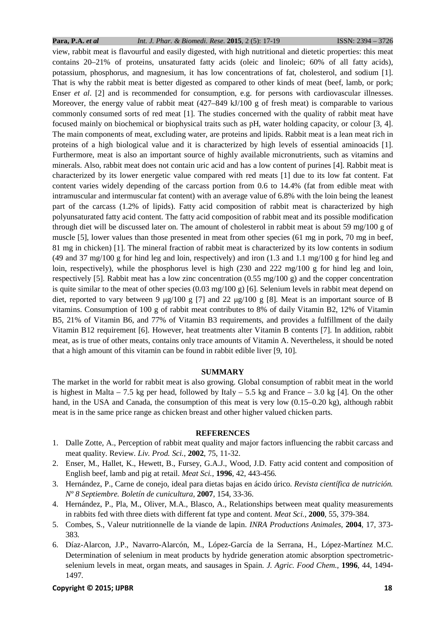### **Para, P.A.** *et al Int. J. Phar. & Biomedi. Rese.* **2015**, 2 (5): 17-19 ISSN: 2394 – 3726

view, rabbit meat is flavourful and easily digested, with high nutritional and dietetic properties: this meat contains 20–21% of proteins, unsaturated fatty acids (oleic and linoleic; 60% of all fatty acids), potassium, phosphorus, and magnesium, it has low concentrations of fat, cholesterol, and sodium [1]. That is why the rabbit meat is better digested as compared to other kinds of meat (beef, lamb, or pork; Enser *et al.* [2] and is recommended for consumption, e.g. for persons with cardiovascular illnesses. Moreover, the energy value of rabbit meat  $(427-849 \text{ kJ}/100 \text{ g}$  of fresh meat) is comparable to various commonly consumed sorts of red meat [1]. The studies concerned with the quality of rabbit meat have focused mainly on biochemical or biophysical traits such as pH, water holding capacity, or colour [3, 4]. The main components of meat, excluding water, are proteins and lipids. Rabbit meat is a lean meat rich in proteins of a high biological value and it is characterized by high levels of essential aminoacids [1]. Furthermore, meat is also an important source of highly available micronutrients, such as vitamins and minerals. Also, rabbit meat does not contain uric acid and has a low content of purines [4]. Rabbit meat is characterized by its lower energetic value compared with red meats [1] due to its low fat content. Fat content varies widely depending of the carcass portion from 0.6 to 14.4% (fat from edible meat with intramuscular and intermuscular fat content) with an average value of 6.8% with the loin being the leanest part of the carcass (1.2% of lipids). Fatty acid composition of rabbit meat is characterized by high polyunsaturated fatty acid content. The fatty acid composition of rabbit meat and its possible modification through diet will be discussed later on. The amount of cholesterol in rabbit meat is about 59 mg/100 g of muscle [5], lower values than those presented in meat from other species (61 mg in pork, 70 mg in beef, 81 mg in chicken) [1]. The mineral fraction of rabbit meat is characterized by its low contents in sodium (49 and 37 mg/100 g for hind leg and loin, respectively) and iron (1.3 and 1.1 mg/100 g for hind leg and loin, respectively), while the phosphorus level is high (230 and 222 mg/100 g for hind leg and loin, respectively [5]. Rabbit meat has a low zinc concentration (0.55 mg/100 g) and the copper concentration is quite similar to the meat of other species  $(0.03 \text{ mg}/100 \text{ g})$  [6]. Selenium levels in rabbit meat depend on diet, reported to vary between 9  $\mu$ g/100 g [7] and 22  $\mu$ g/100 g [8]. Meat is an important source of B vitamins. Consumption of 100 g of rabbit meat contributes to 8% of daily Vitamin B2, 12% of Vitamin B5, 21% of Vitamin B6, and 77% of Vitamin B3 requirements, and provides a fulfillment of the daily Vitamin B12 requirement [6]. However, heat treatments alter Vitamin B contents [7]. In addition, rabbit meat, as is true of other meats, contains only trace amounts of Vitamin A. Nevertheless, it should be noted that a high amount of this vitamin can be found in rabbit edible liver [9, 10].

# **SUMMARY**

The market in the world for rabbit meat is also growing. Global consumption of rabbit meat in the world is highest in Malta – 7.5 kg per head, followed by Italy – 5.5 kg and France – 3.0 kg [4]. On the other hand, in the USA and Canada, the consumption of this meat is very low (0.15–0.20 kg), although rabbit meat is in the same price range as chicken breast and other higher valued chicken parts.

## **REFERENCES**

- 1. Dalle Zotte, A., Perception of rabbit meat quality and major factors influencing the rabbit carcass and meat quality. Review. *Liv. Prod. Sci.,* **2002**, 75, 11-32.
- 2. Enser, M., Hallet, K., Hewett, B., Fursey, G.A.J., Wood, J.D. Fatty acid content and composition of English beef, lamb and pig at retail. *Meat Sci.,* **1996**, 42, 443-456*.*
- 3. Hernández, P., Carne de conejo, ideal para dietas bajas en ácido úrico. *Revista científica de nutrición. Nº 8 Septiembre. Boletín de cunicultura,* **2007**, 154, 33-36.
- 4. Hernández, P., Pla, M., Oliver, M.A., Blasco, A., Relationships between meat quality measurements in rabbits fed with three diets with different fat type and content. *Meat Sci.,* **2000**, 55, 379-384.
- 5. Combes, S., Valeur nutritionnelle de la viande de lapin. *INRA Productions Animales,* **2004**, 17, 373- 383.
- 6. Díaz-Alarcon, J.P., Navarro-Alarcón, M., López-García de la Serrana, H., López-Martínez M.C. Determination of selenium in meat products by hydride generation atomic absorption spectrometricselenium levels in meat, organ meats, and sausages in Spain. *J. Agric. Food Chem.,* **1996**, 44, 1494- 1497*.*

# **Copyright © 2015; IJPBR** 18